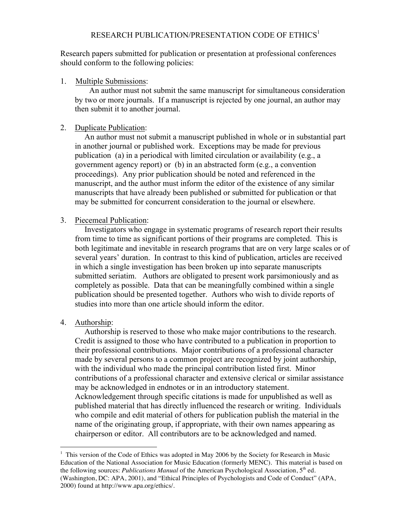# RESEARCH PUBLICATION/PRESENTATION CODE OF ETHICS<sup>1</sup>

Research papers submitted for publication or presentation at professional conferences should conform to the following policies:

1. Multiple Submissions:

An author must not submit the same manuscript for simultaneous consideration by two or more journals. If a manuscript is rejected by one journal, an author may then submit it to another journal.

## 2. Duplicate Publication:

An author must not submit a manuscript published in whole or in substantial part in another journal or published work. Exceptions may be made for previous publication (a) in a periodical with limited circulation or availability (e.g., a government agency report) or (b) in an abstracted form (e.g., a convention proceedings). Any prior publication should be noted and referenced in the manuscript, and the author must inform the editor of the existence of any similar manuscripts that have already been published or submitted for publication or that may be submitted for concurrent consideration to the journal or elsewhere.

## 3. Piecemeal Publication:

Investigators who engage in systematic programs of research report their results from time to time as significant portions of their programs are completed. This is both legitimate and inevitable in research programs that are on very large scales or of several years' duration. In contrast to this kind of publication, articles are received in which a single investigation has been broken up into separate manuscripts submitted seriatim. Authors are obligated to present work parsimoniously and as completely as possible. Data that can be meaningfully combined within a single publication should be presented together. Authors who wish to divide reports of studies into more than one article should inform the editor.

# 4. Authorship:

Authorship is reserved to those who make major contributions to the research. Credit is assigned to those who have contributed to a publication in proportion to their professional contributions. Major contributions of a professional character made by several persons to a common project are recognized by joint authorship, with the individual who made the principal contribution listed first. Minor contributions of a professional character and extensive clerical or similar assistance may be acknowledged in endnotes or in an introductory statement. Acknowledgement through specific citations is made for unpublished as well as published material that has directly influenced the research or writing. Individuals who compile and edit material of others for publication publish the material in the name of the originating group, if appropriate, with their own names appearing as chairperson or editor. All contributors are to be acknowledged and named.

<sup>|&</sup>lt;br>1  $1$  This version of the Code of Ethics was adopted in May 2006 by the Society for Research in Music Education of the National Association for Music Education (formerly MENC). This material is based on the following sources: *Publications Manual* of the American Psychological Association, 5<sup>th</sup> ed. (Washington, DC: APA, 2001), and "Ethical Principles of Psychologists and Code of Conduct" (APA, 2000) found at http://www.apa.org/ethics/.